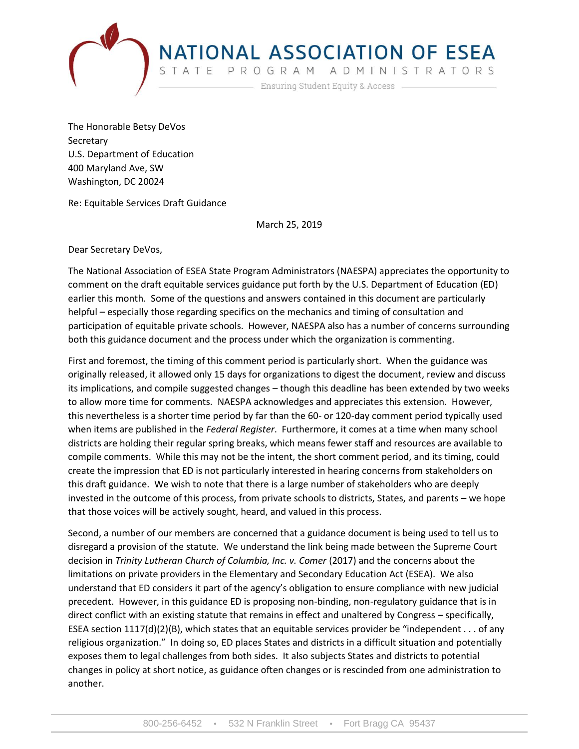

**NATIONAL ASSOCIATION OF ESEA**<br>STATE PROGRAM ADMINISTRATORS<br>Ensuring Student Equity & Access

The Honorable Betsy DeVos Secretary U.S. Department of Education 400 Maryland Ave, SW Washington, DC 20024

Re: Equitable Services Draft Guidance

March 25, 2019

Dear Secretary DeVos,

The National Association of ESEA State Program Administrators (NAESPA) appreciates the opportunity to comment on the draft equitable services guidance put forth by the U.S. Department of Education (ED) earlier this month. Some of the questions and answers contained in this document are particularly helpful – especially those regarding specifics on the mechanics and timing of consultation and participation of equitable private schools. However, NAESPA also has a number of concerns surrounding both this guidance document and the process under which the organization is commenting.

First and foremost, the timing of this comment period is particularly short. When the guidance was originally released, it allowed only 15 days for organizations to digest the document, review and discuss its implications, and compile suggested changes – though this deadline has been extended by two weeks to allow more time for comments. NAESPA acknowledges and appreciates this extension. However, this nevertheless is a shorter time period by far than the 60- or 120-day comment period typically used when items are published in the *Federal Register*. Furthermore, it comes at a time when many school districts are holding their regular spring breaks, which means fewer staff and resources are available to compile comments. While this may not be the intent, the short comment period, and its timing, could create the impression that ED is not particularly interested in hearing concerns from stakeholders on this draft guidance. We wish to note that there is a large number of stakeholders who are deeply invested in the outcome of this process, from private schools to districts, States, and parents – we hope that those voices will be actively sought, heard, and valued in this process.

Second, a number of our members are concerned that a guidance document is being used to tell us to disregard a provision of the statute. We understand the link being made between the Supreme Court decision in *Trinity Lutheran Church of Columbia, Inc. v. Comer* (2017) and the concerns about the limitations on private providers in the Elementary and Secondary Education Act (ESEA). We also understand that ED considers it part of the agency's obligation to ensure compliance with new judicial precedent. However, in this guidance ED is proposing non-binding, non-regulatory guidance that is in direct conflict with an existing statute that remains in effect and unaltered by Congress – specifically, ESEA section  $1117(d)(2)(B)$ , which states that an equitable services provider be "independent . . . of any religious organization." In doing so, ED places States and districts in a difficult situation and potentially exposes them to legal challenges from both sides. It also subjects States and districts to potential changes in policy at short notice, as guidance often changes or is rescinded from one administration to another.